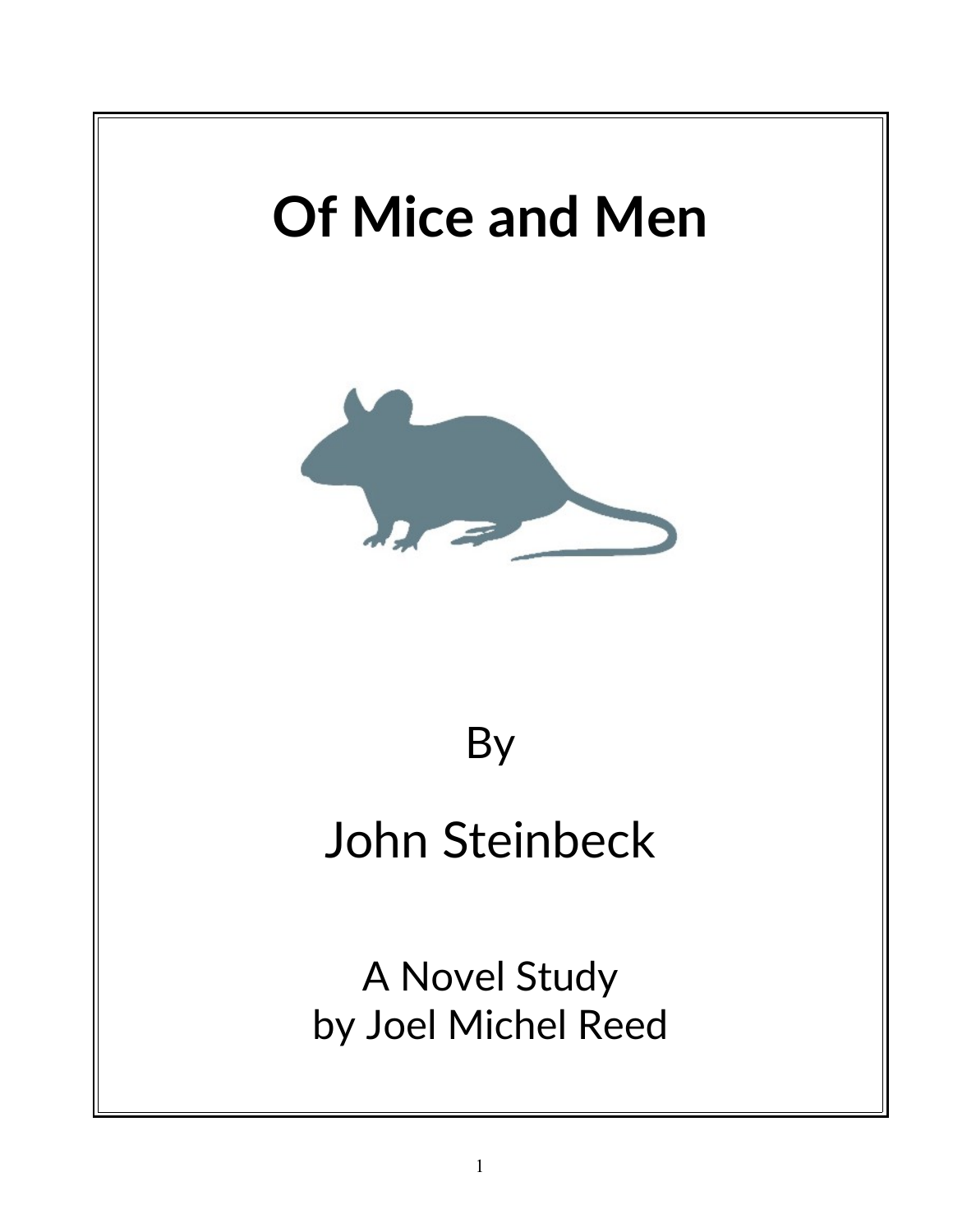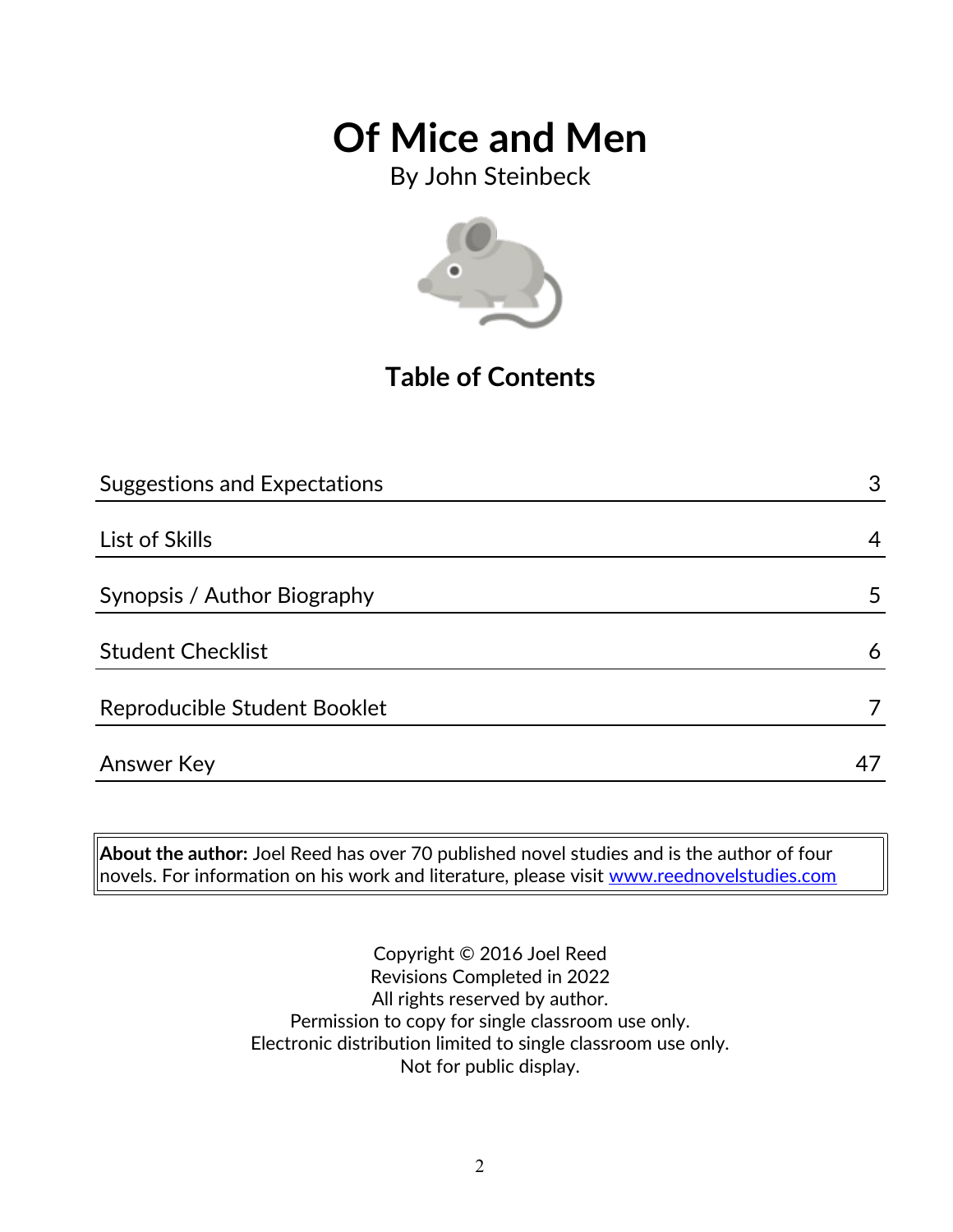By John Steinbeck



## **Table of Contents**

| <b>Suggestions and Expectations</b> | 3  |
|-------------------------------------|----|
|                                     |    |
| List of Skills                      | 4  |
|                                     |    |
| Synopsis / Author Biography         | 5  |
|                                     |    |
| <b>Student Checklist</b>            | 6  |
|                                     |    |
| Reproducible Student Booklet        |    |
|                                     |    |
| <b>Answer Key</b>                   | 47 |

**About the author:** Joel Reed has over 70 published novel studies and is the author of four novels. For information on his work and literature, please visit [www.reednovelstudies.com](http://www.reednovelstudies.com/)

> Copyright © 2016 Joel Reed Revisions Completed in 2022 All rights reserved by author. Permission to copy for single classroom use only. Electronic distribution limited to single classroom use only. Not for public display.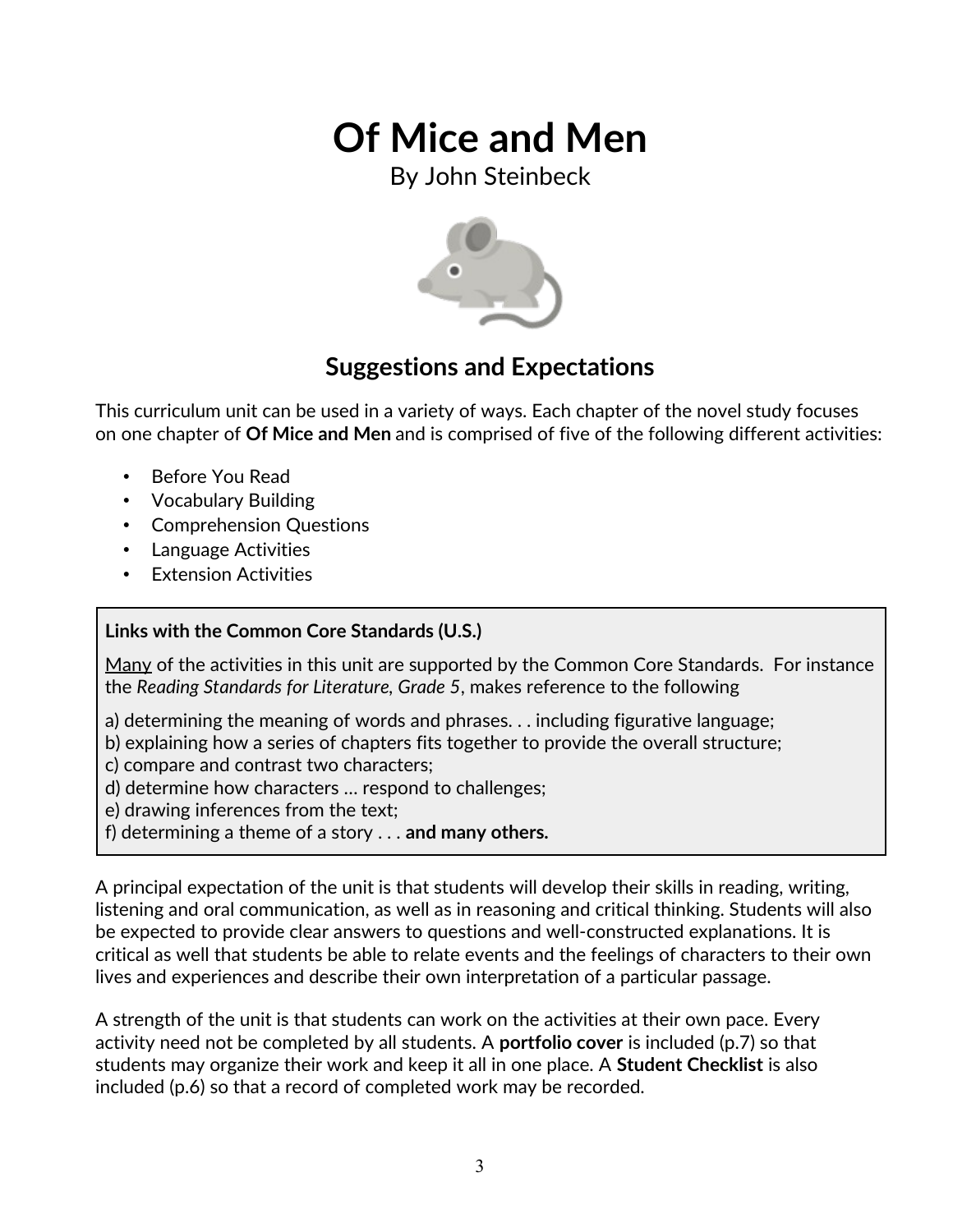By John Steinbeck



### **Suggestions and Expectations**

This curriculum unit can be used in a variety of ways. Each chapter of the novel study focuses on one chapter of **Of Mice and Men** and is comprised of five of the following different activities:

- **Before You Read**
- Vocabulary Building
- Comprehension Questions
- Language Activities
- Extension Activities

#### **Links with the Common Core Standards (U.S.)**

Many of the activities in this unit are supported by the Common Core Standards. For instance the *Reading Standards for Literature, Grade 5*, makes reference to the following

- a) determining the meaning of words and phrases. . . including figurative language;
- b) explaining how a series of chapters fits together to provide the overall structure;
- c) compare and contrast two characters;
- d) determine how characters … respond to challenges;
- e) drawing inferences from the text;
- f) determining a theme of a story . . . **and many others.**

A principal expectation of the unit is that students will develop their skills in reading, writing, listening and oral communication, as well as in reasoning and critical thinking. Students will also be expected to provide clear answers to questions and well-constructed explanations. It is critical as well that students be able to relate events and the feelings of characters to their own lives and experiences and describe their own interpretation of a particular passage.

A strength of the unit is that students can work on the activities at their own pace. Every activity need not be completed by all students. A **portfolio cover** is included (p.7) so that students may organize their work and keep it all in one place. A **Student Checklist** is also included (p.6) so that a record of completed work may be recorded.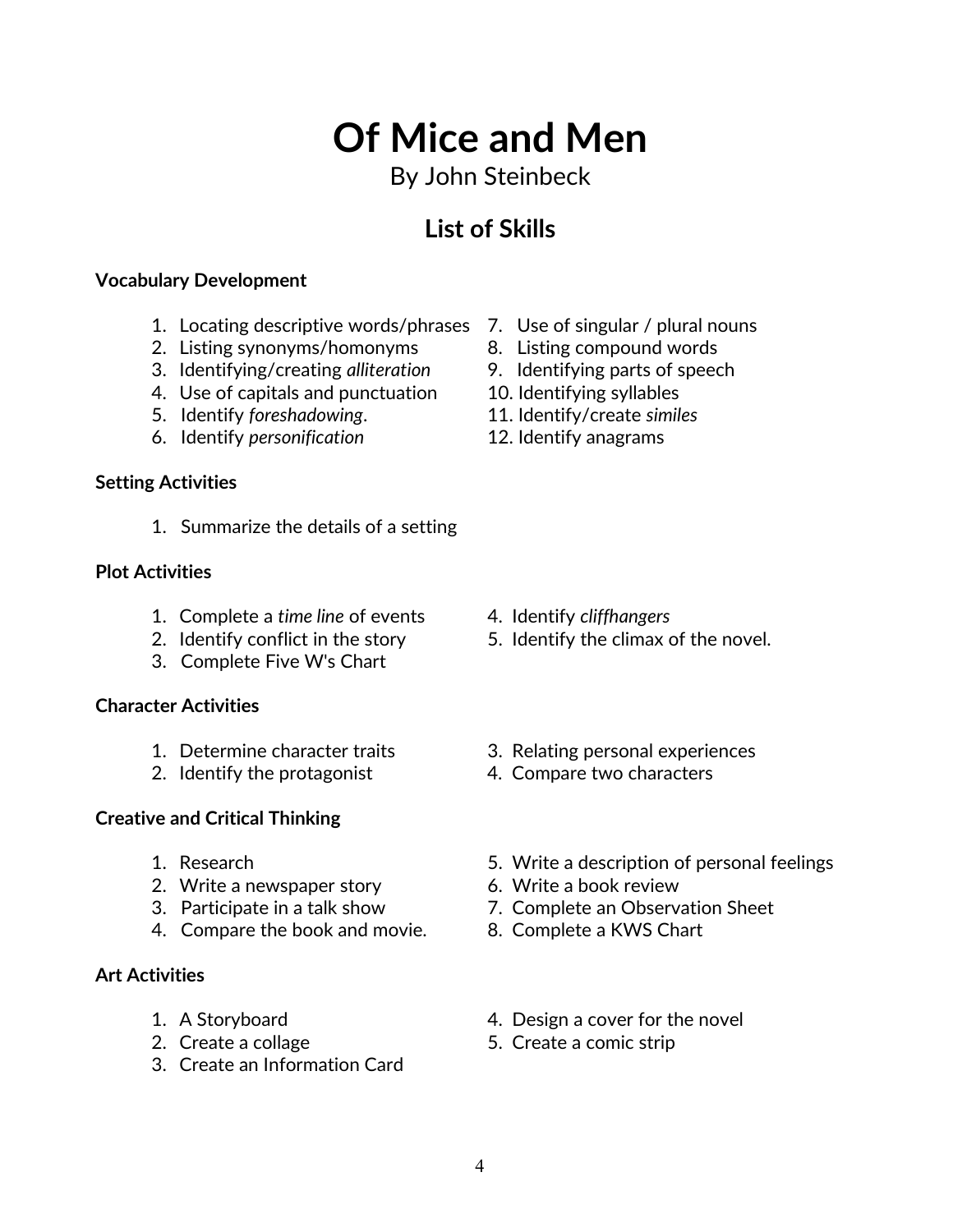## 4

# **Of Mice and Men**

## By John Steinbeck

## **List of Skills**

#### **Vocabulary Development**

- 1. Locating descriptive words/phrases 7. Use of singular / plural nouns
- 2. Listing synonyms/homonyms 8. Listing compound words
- 3. Identifying/creating *alliteration* 9. Identifying parts of speech
- 4. Use of capitals and punctuation 10. Identifying syllables
- 5. Identify *foreshadowing*. 11. Identify/create *similes*
- 6. Identify *personification* 12. Identify anagrams

### **Setting Activities**

1. Summarize the details of a setting

#### **Plot Activities**

- 1. Complete a *time line* of events 4. Identify *cliffhangers*
- 
- 3. Complete Five W's Chart

#### **Character Activities**

- 
- 

### **Creative and Critical Thinking**

- 
- 2. Write a newspaper story 6. Write a book review
- 
- 4. Compare the book and movie. 8. Complete a KWS Chart

### **Art Activities**

- 
- 
- 3. Create an Information Card
- 
- 
- 
- 
- 
- 

- 
- 2. Identify conflict in the story 5. Identify the climax of the novel.
- 1. Determine character traits 3. Relating personal experiences
- 2. Identify the protagonist 4. Compare two characters
- 1. Research 5. Write a description of personal feelings
	-
- 3. Participate in a talk show 7. Complete an Observation Sheet
	-
- 1. A Storyboard **1.** A Storyboard **1.** A Storyboard
- 2. Create a collage 5. Create a comic strip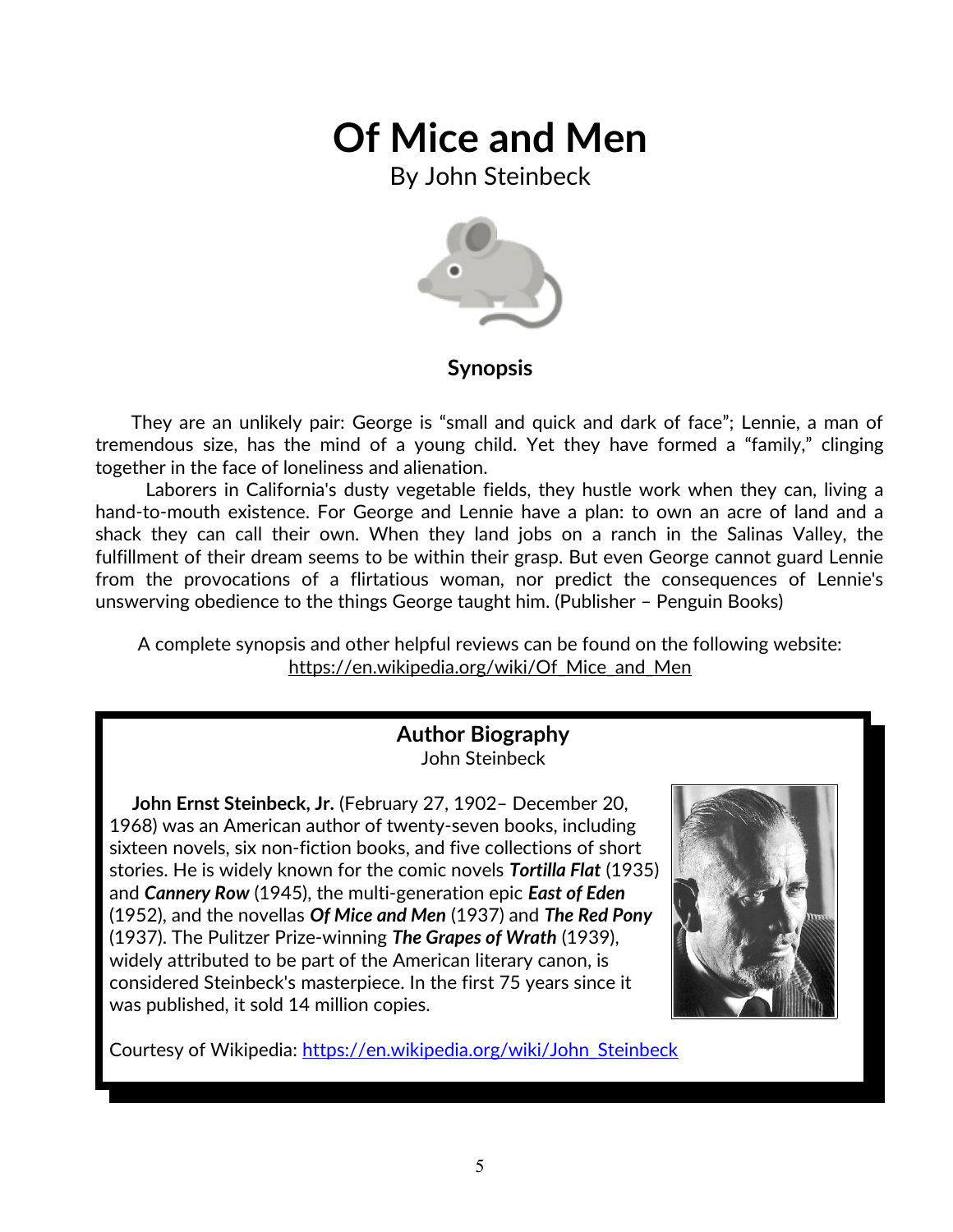By John Steinbeck



#### **Synopsis**

 They are an unlikely pair: George is "small and quick and dark of face"; Lennie, a man of tremendous size, has the mind of a young child. Yet they have formed a "family," clinging together in the face of loneliness and alienation.

 Laborers in California's dusty vegetable fields, they hustle work when they can, living a hand-to-mouth existence. For George and Lennie have a plan: to own an acre of land and a shack they can call their own. When they land jobs on a ranch in the Salinas Valley, the fulfillment of their dream seems to be within their grasp. But even George cannot guard Lennie from the provocations of a flirtatious woman, nor predict the consequences of Lennie's unswerving obedience to the things George taught him. (Publisher – Penguin Books)

A complete synopsis and other helpful reviews can be found on the following website: https://en.wikipedia.org/wiki/Of\_Mice\_and\_Men

#### **Author Biography** John Steinbeck

 **John Ernst Steinbeck, Jr.** (February 27, 1902– December 20, 1968) was an American author of twenty-seven books, including sixteen novels, six non-fiction books, and five collections of short stories. He is widely known for the comic novels *Tortilla Flat* (1935) and *Cannery Row* (1945), the multi-generation epic *East of Eden* (1952), and the novellas *Of Mice and Men* (1937) and *The Red Pony* (1937). The Pulitzer Prize-winning *The Grapes of Wrath* (1939), widely attributed to be part of the American literary canon, is considered Steinbeck's masterpiece. In the first 75 years since it was published, it sold 14 million copies.



Courtesy of Wikipedia: [https://en.wikipedia.org/wiki/John\\_Steinbeck](https://en.wikipedia.org/wiki/John_Steinbeck)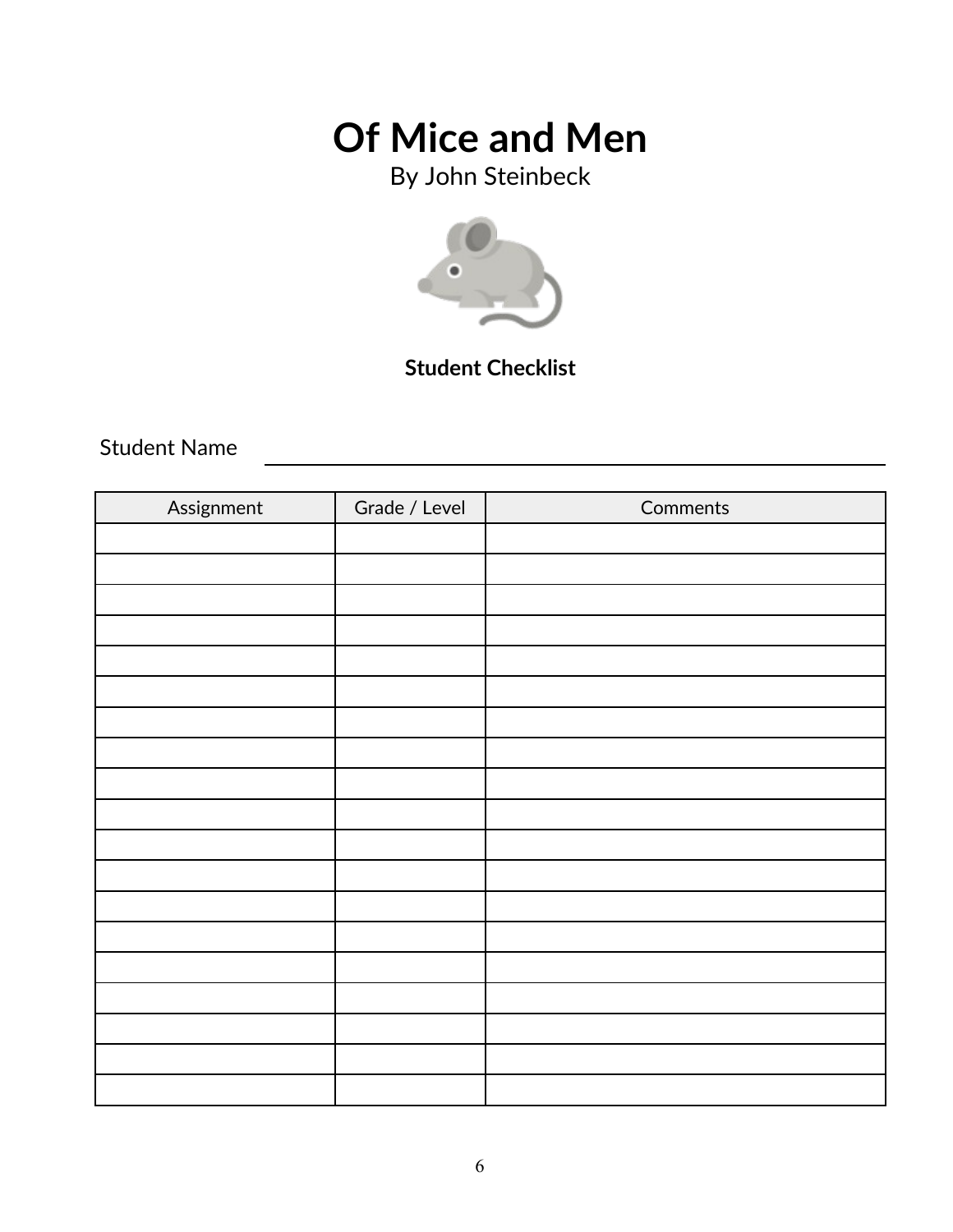By John Steinbeck



### **Student Checklist**

Student Name

| Assignment | Grade / Level | Comments |
|------------|---------------|----------|
|            |               |          |
|            |               |          |
|            |               |          |
|            |               |          |
|            |               |          |
|            |               |          |
|            |               |          |
|            |               |          |
|            |               |          |
|            |               |          |
|            |               |          |
|            |               |          |
|            |               |          |
|            |               |          |
|            |               |          |
|            |               |          |
|            |               |          |
|            |               |          |
|            |               |          |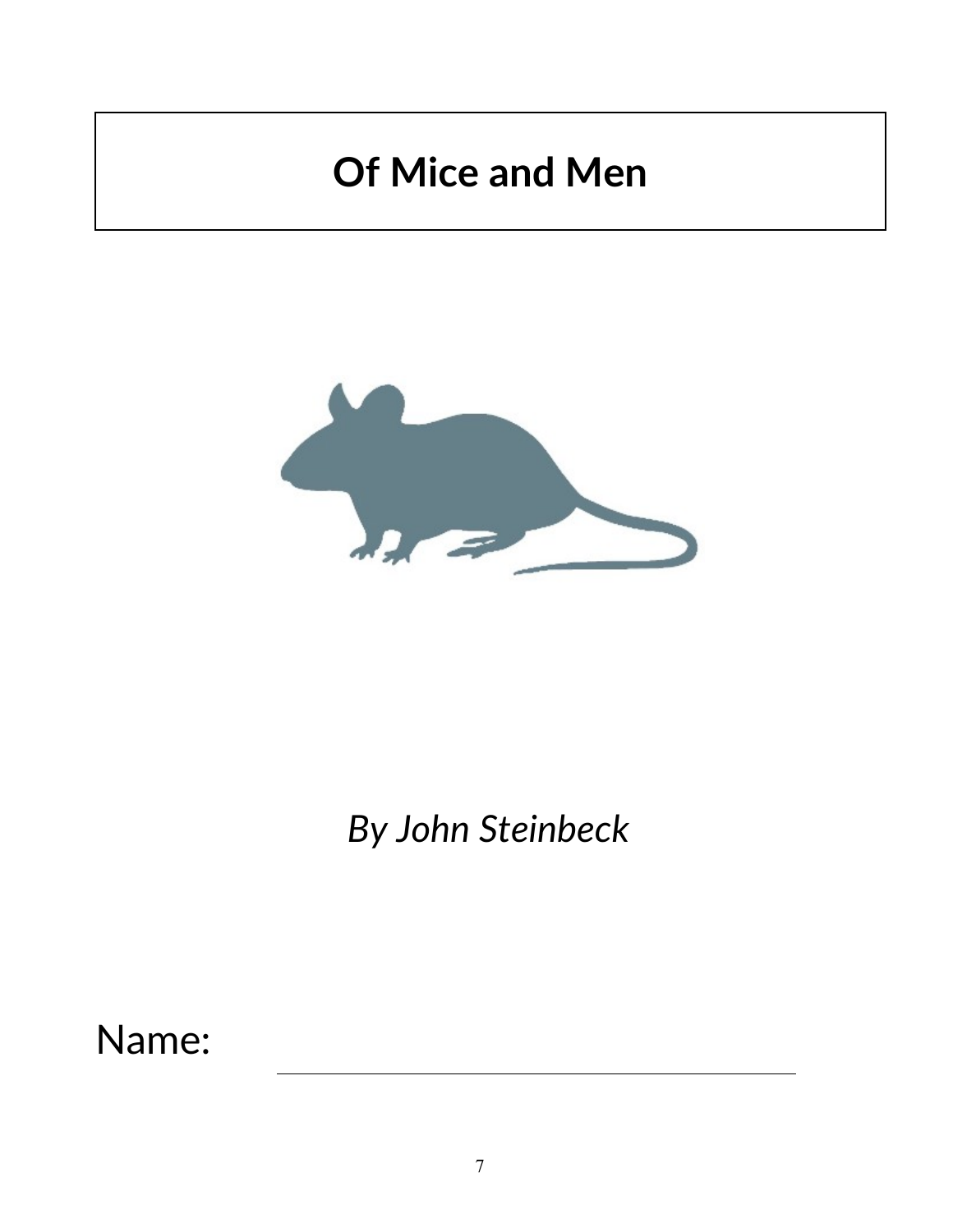

## *By John Steinbeck*

Name: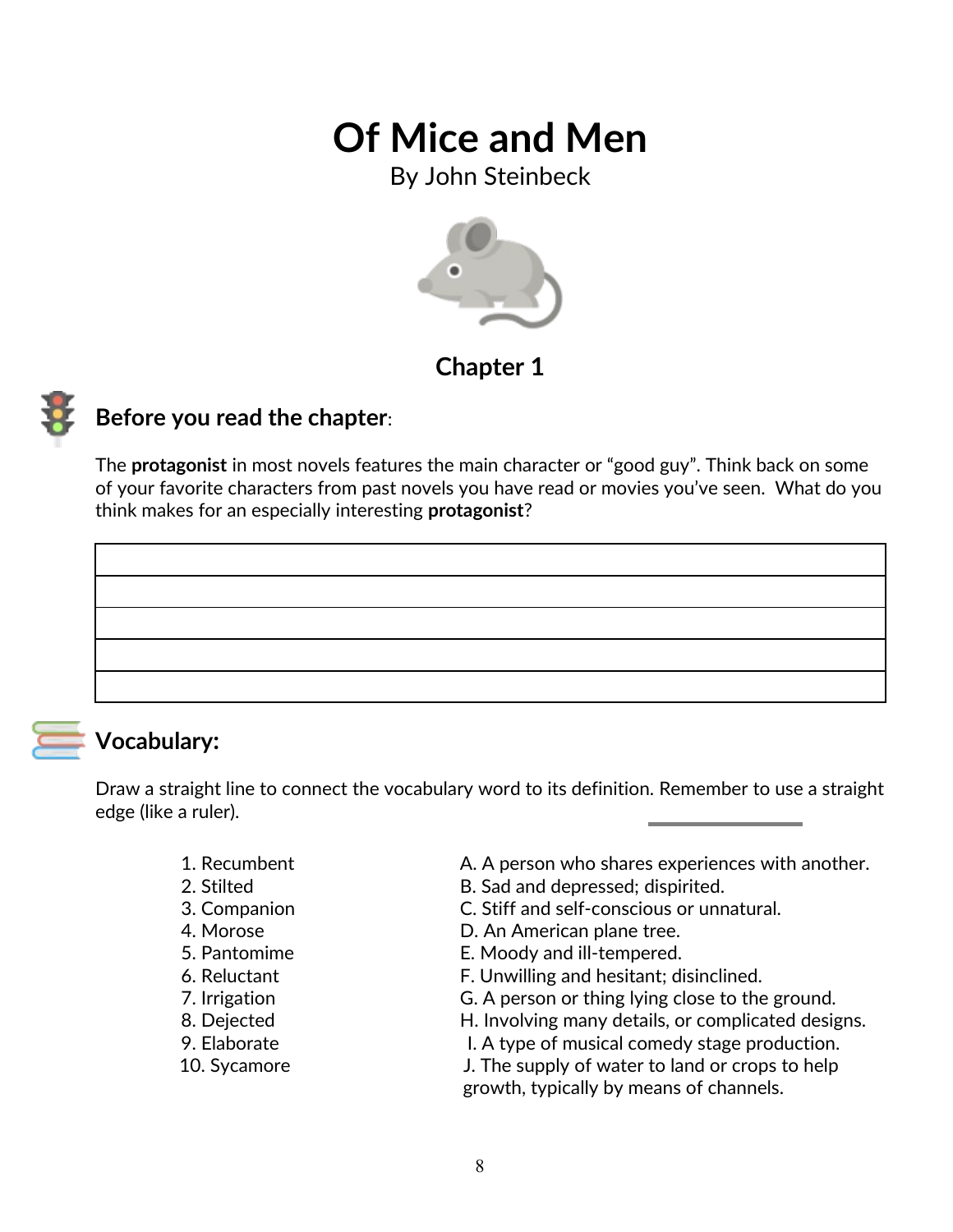By John Steinbeck



### **Chapter 1**



### **Before you read the chapter**:

The **protagonist** in most novels features the main character or "good guy". Think back on some of your favorite characters from past novels you have read or movies you've seen. What do you think makes for an especially interesting **protagonist**?



### **Vocabulary:**

Draw a straight line to connect the vocabulary word to its definition. Remember to use a straight edge (like a ruler).

- 
- 
- 
- 
- 
- 
- 
- 
- 
- 
- 1. Recumbent **A. A person who shares experiences with another.**
- 2. Stilted B. Sad and depressed; dispirited.
- 3. Companion C. Stiff and self-conscious or unnatural.
- 4. Morose D. An American plane tree.
- 5. Pantomime E. Moody and ill-tempered.
- 6. Reluctant F. Unwilling and hesitant; disinclined.
- 7. Irrigation G. A person or thing lying close to the ground.
- 8. Dejected **H. Involving many details, or complicated designs.**
- 9. Elaborate **I. A type of musical comedy stage production.**
- 10. Sycamore J. The supply of water to land or crops to help growth, typically by means of channels.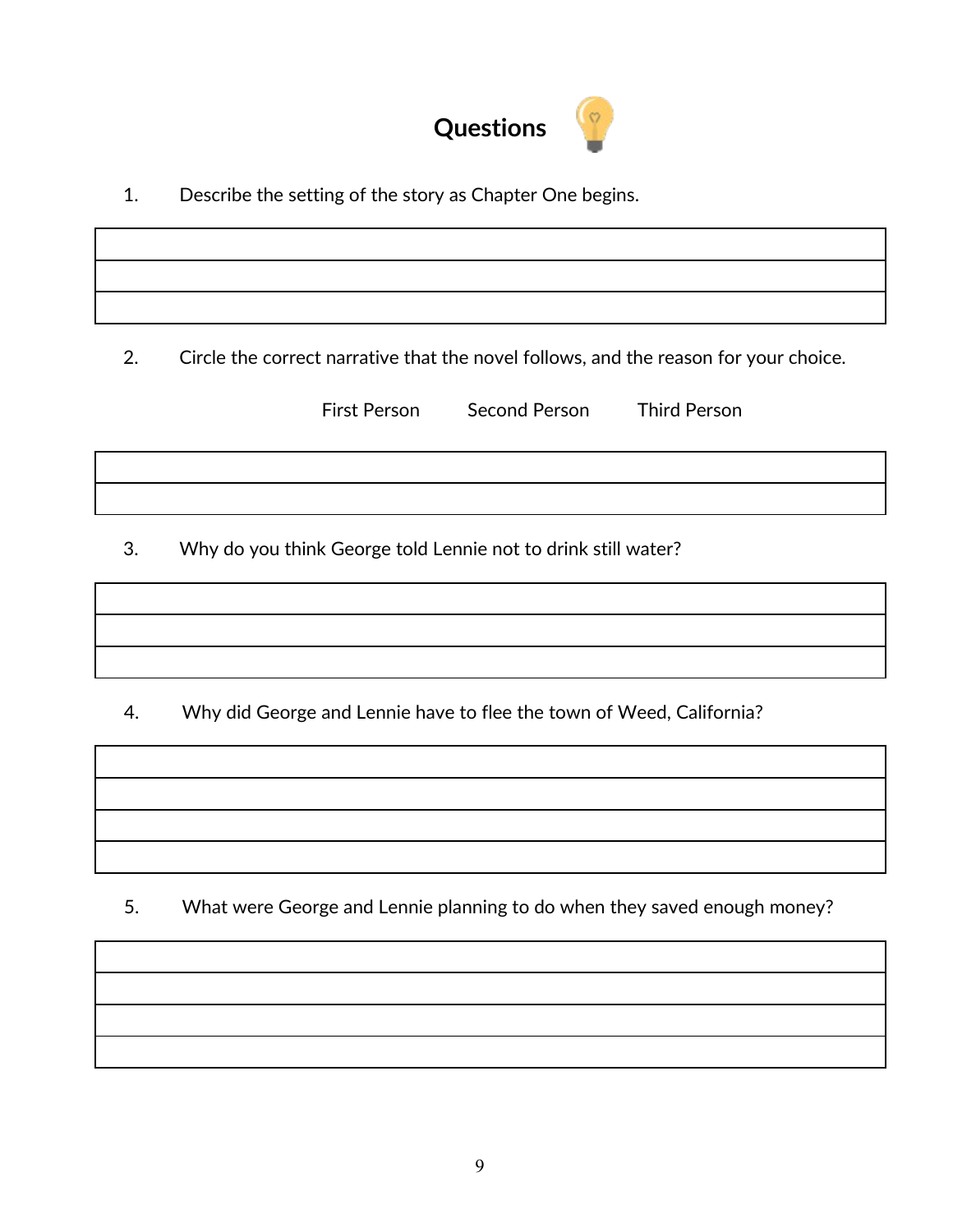

1. Describe the setting of the story as Chapter One begins.

2. Circle the correct narrative that the novel follows, and the reason for your choice.

First Person Second Person Third Person

3. Why do you think George told Lennie not to drink still water?

4. Why did George and Lennie have to flee the town of Weed, California?

5. What were George and Lennie planning to do when they saved enough money?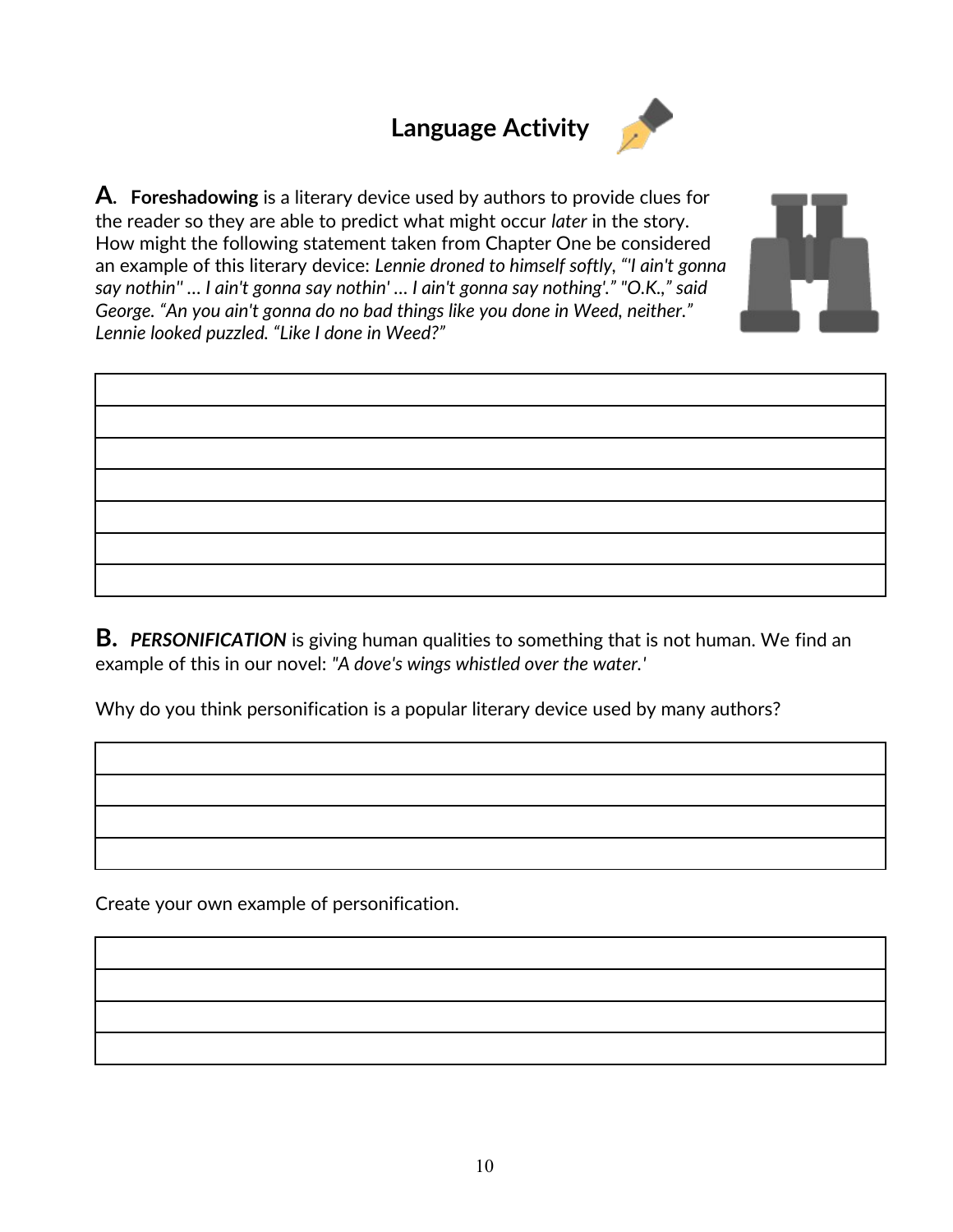## **Language Activity**



**A. Foreshadowing** is a literary device used by authors to provide clues for the reader so they are able to predict what might occur *later* in the story. How might the following statement taken from Chapter One be considered an example of this literary device: *Lennie droned to himself softly, "'I ain't gonna say nothin'' … I ain't gonna say nothin' … I ain't gonna say nothing'." "O.K.," said George. "An you ain't gonna do no bad things like you done in Weed, neither." Lennie looked puzzled. "Like I done in Weed?"*



**B.** *PERSONIFICATION* is giving human qualities to something that is not human. We find an example of this in our novel: *"A dove's wings whistled over the water.'* 

Why do you think personification is a popular literary device used by many authors?

Create your own example of personification.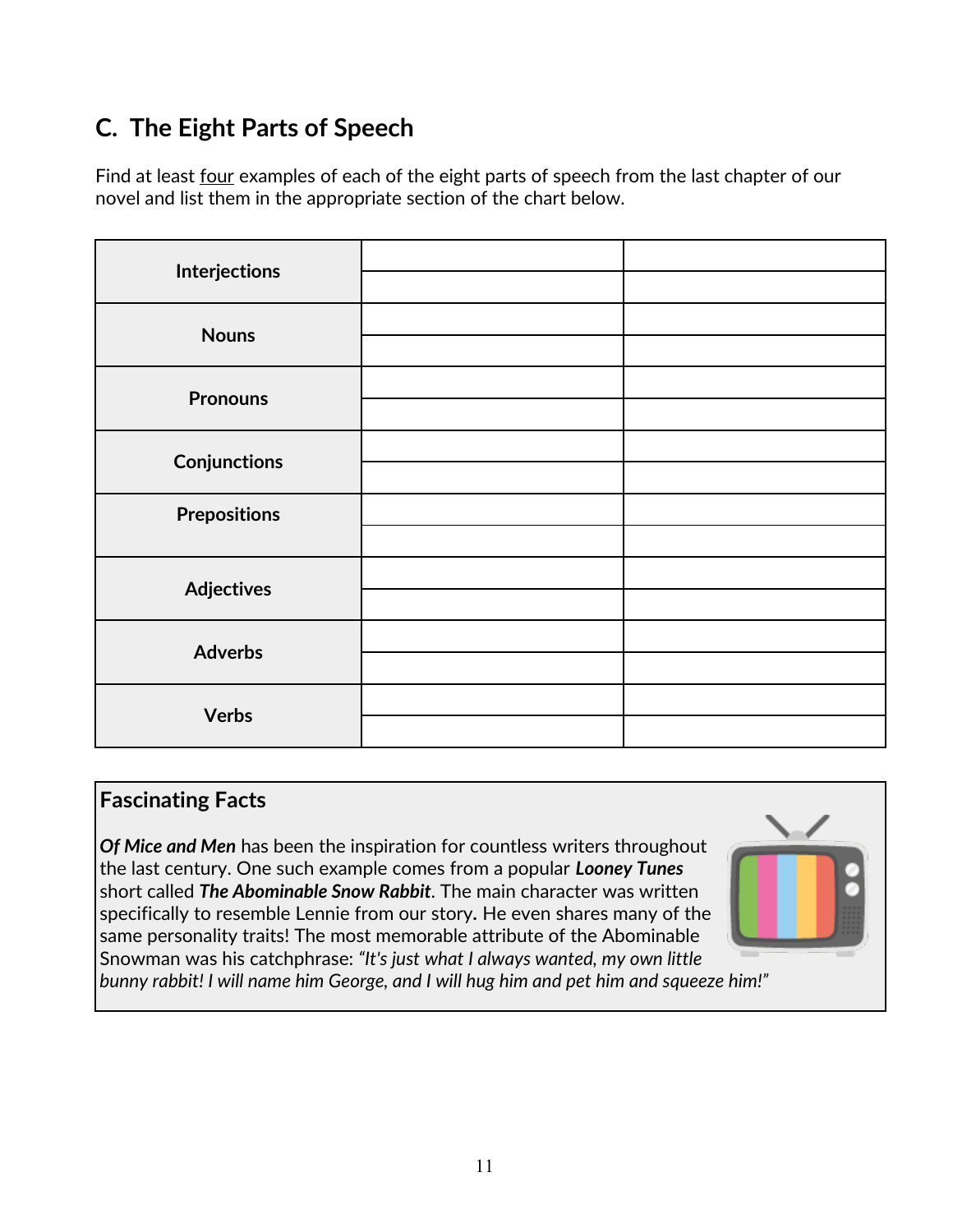## **C. The Eight Parts of Speech**

Find at least <u>four</u> examples of each of the eight parts of speech from the last chapter of our novel and list them in the appropriate section of the chart below.

| <b>Interjections</b> |  |
|----------------------|--|
|                      |  |
| <b>Nouns</b>         |  |
|                      |  |
| <b>Pronouns</b>      |  |
|                      |  |
| <b>Conjunctions</b>  |  |
|                      |  |
| <b>Prepositions</b>  |  |
|                      |  |
| <b>Adjectives</b>    |  |
|                      |  |
| <b>Adverbs</b>       |  |
|                      |  |
| <b>Verbs</b>         |  |
|                      |  |

#### **Fascinating Facts**

*Of Mice and Men* has been the inspiration for countless writers throughout the last century. One such example comes from a popular *Looney Tunes* short called *The Abominable Snow Rabbit.* The main character was written specifically to resemble Lennie from our story*.* He even shares many of the same personality traits! The most memorable attribute of the Abominable Snowman was his catchphrase: *"It's just what I always wanted, my own little*



*bunny rabbit! I will name him George, and I will hug him and pet him and squeeze him!"*